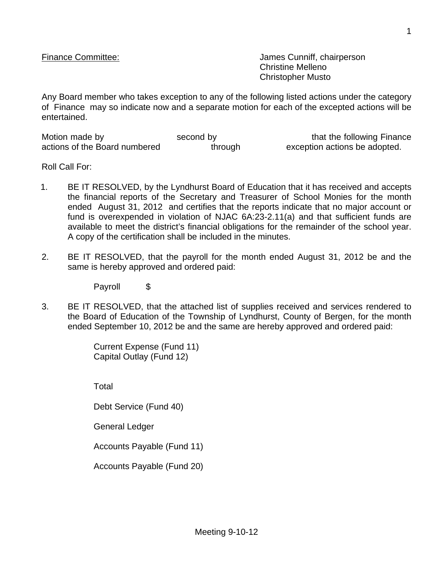Finance Committee:  $\blacksquare$  James Cunniff, chairperson Christine Melleno Christopher Musto

Any Board member who takes exception to any of the following listed actions under the category of Finance may so indicate now and a separate motion for each of the excepted actions will be entertained.

| Motion made by                | second by | that the following Finance    |
|-------------------------------|-----------|-------------------------------|
| actions of the Board numbered | through   | exception actions be adopted. |

Roll Call For:

- 1. BE IT RESOLVED, by the Lyndhurst Board of Education that it has received and accepts the financial reports of the Secretary and Treasurer of School Monies for the month ended August 31, 2012 and certifies that the reports indicate that no major account or fund is overexpended in violation of NJAC 6A:23-2.11(a) and that sufficient funds are available to meet the district's financial obligations for the remainder of the school year. A copy of the certification shall be included in the minutes.
- 2. BE IT RESOLVED, that the payroll for the month ended August 31, 2012 be and the same is hereby approved and ordered paid:

Payroll \$

3. BE IT RESOLVED, that the attached list of supplies received and services rendered to the Board of Education of the Township of Lyndhurst, County of Bergen, for the month ended September 10, 2012 be and the same are hereby approved and ordered paid:

> Current Expense (Fund 11) Capital Outlay (Fund 12)

Total

Debt Service (Fund 40)

General Ledger

Accounts Payable (Fund 11)

Accounts Payable (Fund 20)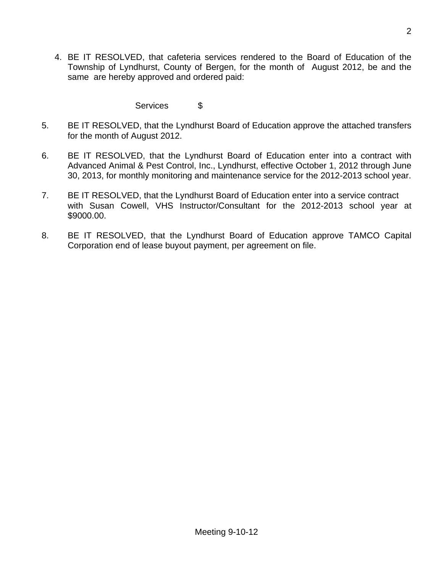4. BE IT RESOLVED, that cafeteria services rendered to the Board of Education of the Township of Lyndhurst, County of Bergen, for the month of August 2012, be and the same are hereby approved and ordered paid:

## Services \$

- 5. BE IT RESOLVED, that the Lyndhurst Board of Education approve the attached transfers for the month of August 2012.
- 6. BE IT RESOLVED, that the Lyndhurst Board of Education enter into a contract with Advanced Animal & Pest Control, Inc., Lyndhurst, effective October 1, 2012 through June 30, 2013, for monthly monitoring and maintenance service for the 2012-2013 school year.
- 7. BE IT RESOLVED, that the Lyndhurst Board of Education enter into a service contract with Susan Cowell, VHS Instructor/Consultant for the 2012-2013 school year at \$9000.00.
- 8. BE IT RESOLVED, that the Lyndhurst Board of Education approve TAMCO Capital Corporation end of lease buyout payment, per agreement on file.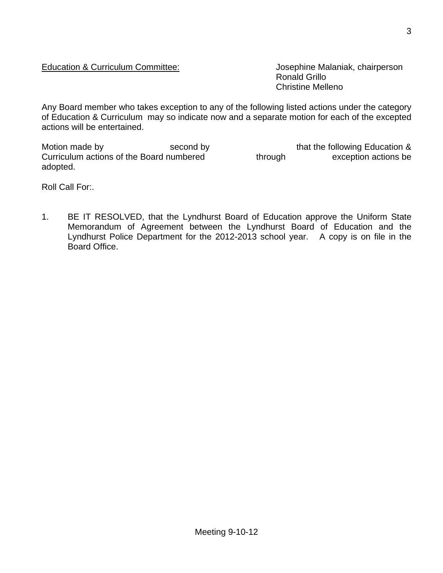## Education & Curriculum Committee: Josephine Malaniak, chairperson

Ronald Grillo Christine Melleno

Any Board member who takes exception to any of the following listed actions under the category of Education & Curriculum may so indicate now and a separate motion for each of the excepted actions will be entertained.

Motion made by second by second by that the following Education & Curriculum actions of the Board numbered through exception actions be adopted.

Roll Call For:.

1. BE IT RESOLVED, that the Lyndhurst Board of Education approve the Uniform State Memorandum of Agreement between the Lyndhurst Board of Education and the Lyndhurst Police Department for the 2012-2013 school year. A copy is on file in the Board Office.